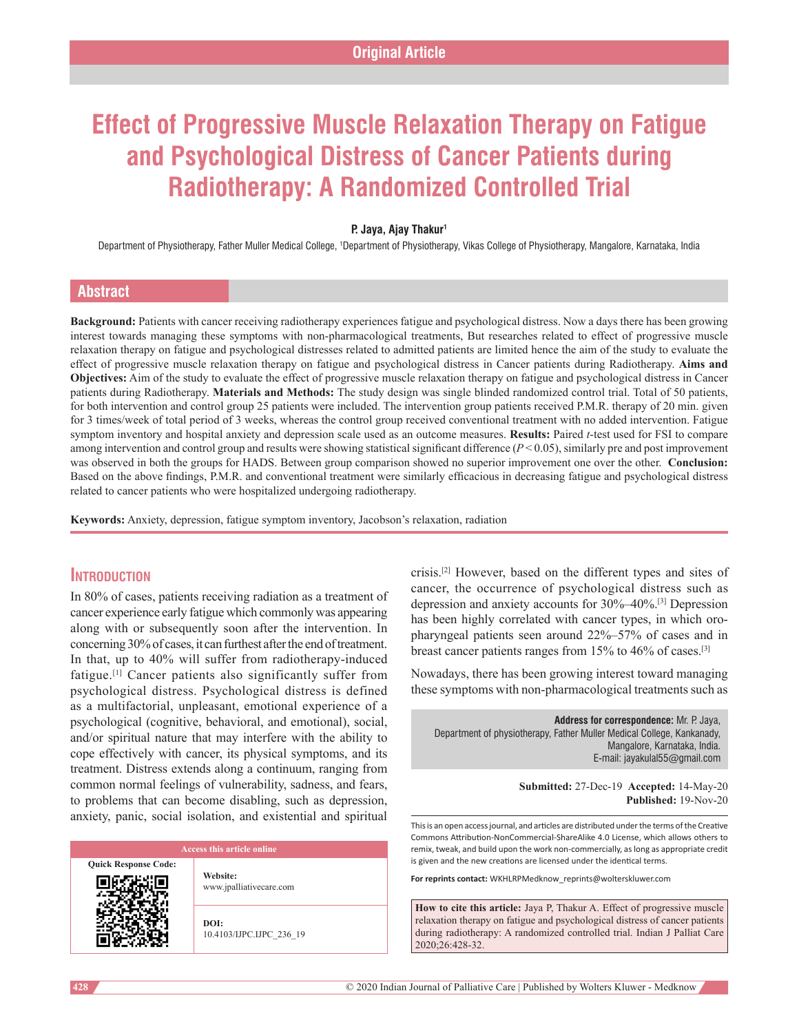# **Effect of Progressive Muscle Relaxation Therapy on Fatigue and Psychological Distress of Cancer Patients during Radiotherapy: A Randomized Controlled Trial**

#### **P. Jaya, Ajay Thakur1**

Department of Physiotherapy, Father Muller Medical College, †Department of Physiotherapy, Vikas College of Physiotherapy, Mangalore, Karnataka, India

### **Abstract**

**Background:** Patients with cancer receiving radiotherapy experiences fatigue and psychological distress. Now a days there has been growing interest towards managing these symptoms with non-pharmacological treatments, But researches related to effect of progressive muscle relaxation therapy on fatigue and psychological distresses related to admitted patients are limited hence the aim of the study to evaluate the effect of progressive muscle relaxation therapy on fatigue and psychological distress in Cancer patients during Radiotherapy. **Aims and Objectives:** Aim of the study to evaluate the effect of progressive muscle relaxation therapy on fatigue and psychological distress in Cancer patients during Radiotherapy. **Materials and Methods:** The study design was single blinded randomized control trial. Total of 50 patients, for both intervention and control group 25 patients were included. The intervention group patients received P.M.R. therapy of 20 min. given for 3 times/week of total period of 3 weeks, whereas the control group received conventional treatment with no added intervention. Fatigue symptom inventory and hospital anxiety and depression scale used as an outcome measures. **Results:** Paired *t*-test used for FSI to compare among intervention and control group and results were showing statistical significant difference (*P* < 0.05), similarly pre and post improvement was observed in both the groups for HADS. Between group comparison showed no superior improvement one over the other. **Conclusion:** Based on the above findings, P.M.R. and conventional treatment were similarly efficacious in decreasing fatigue and psychological distress related to cancer patients who were hospitalized undergoing radiotherapy.

**Keywords:** Anxiety, depression, fatigue symptom inventory, Jacobson's relaxation, radiation

# **Introduction**

In 80% of cases, patients receiving radiation as a treatment of cancer experience early fatigue which commonly was appearing along with or subsequently soon after the intervention. In concerning 30% of cases, it can furthest after the end of treatment. In that, up to 40% will suffer from radiotherapy‑induced fatigue.[1] Cancer patients also significantly suffer from psychological distress. Psychological distress is defined as a multifactorial, unpleasant, emotional experience of a psychological (cognitive, behavioral, and emotional), social, and/or spiritual nature that may interfere with the ability to cope effectively with cancer, its physical symptoms, and its treatment. Distress extends along a continuum, ranging from common normal feelings of vulnerability, sadness, and fears, to problems that can become disabling, such as depression, anxiety, panic, social isolation, and existential and spiritual

**Quick Response Code:**

**Website:** www.jpalliativecare.com

**DOI:** 10.4103/IJPC.IJPC\_236\_19 crisis.[2] However, based on the different types and sites of cancer, the occurrence of psychological distress such as depression and anxiety accounts for 30%–40%.[3] Depression has been highly correlated with cancer types, in which oropharyngeal patients seen around 22%–57% of cases and in breast cancer patients ranges from 15% to 46% of cases.[3]

Nowadays, there has been growing interest toward managing these symptoms with non-pharmacological treatments such as

**Address for correspondence:** Mr. P. Jaya, Department of physiotherapy, Father Muller Medical College, Kankanady, Mangalore, Karnataka, India. E‑mail: jayakulal55@gmail.com

> **Submitted:** 27-Dec-19 **Accepted:** 14-May-20 **Published:** 19-Nov-20

This is an open access journal, and articles are distributed under the terms of the Creative Commons Attribution‑NonCommercial‑ShareAlike 4.0 License, which allows others to remix, tweak, and build upon the work non‑commercially, as long as appropriate credit is given and the new creations are licensed under the identical terms.

**For reprints contact:** WKHLRPMedknow\_reprints@wolterskluwer.com

**How to cite this article:** Jaya P, Thakur A. Effect of progressive muscle relaxation therapy on fatigue and psychological distress of cancer patients during radiotherapy: A randomized controlled trial. Indian J Palliat Care 2020;26:428-32.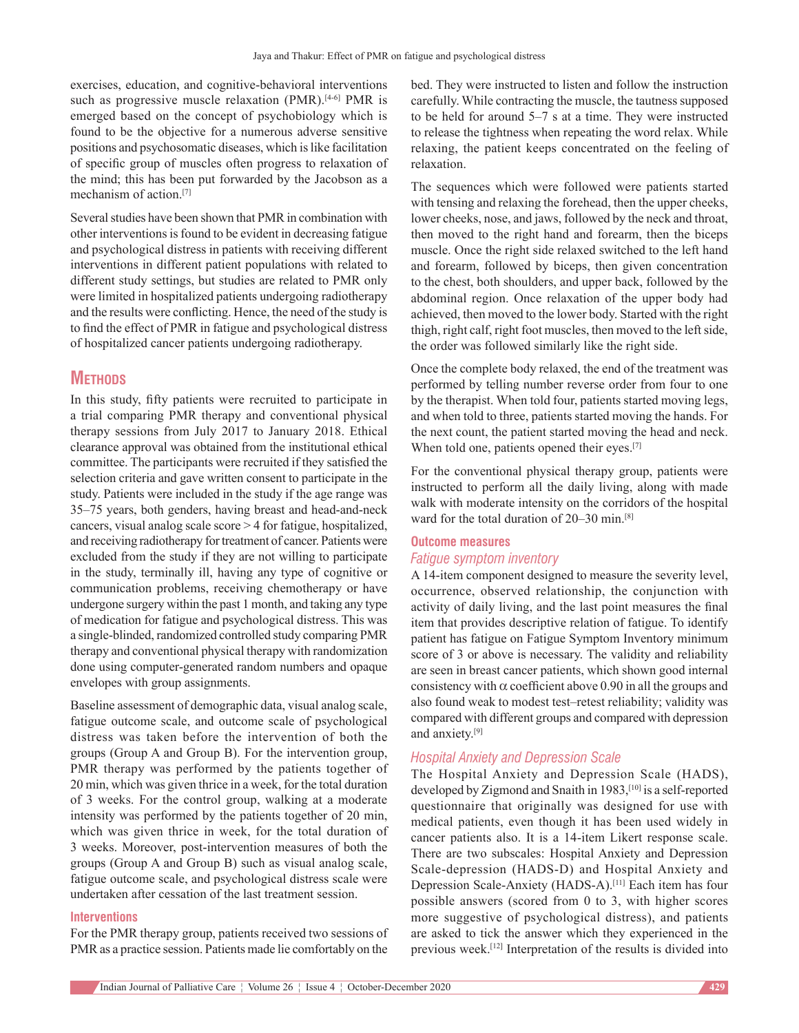exercises, education, and cognitive-behavioral interventions such as progressive muscle relaxation (PMR).<sup>[4-6]</sup> PMR is emerged based on the concept of psychobiology which is found to be the objective for a numerous adverse sensitive positions and psychosomatic diseases, which is like facilitation of specific group of muscles often progress to relaxation of the mind; this has been put forwarded by the Jacobson as a mechanism of action.[7]

Several studies have been shown that PMR in combination with other interventions is found to be evident in decreasing fatigue and psychological distress in patients with receiving different interventions in different patient populations with related to different study settings, but studies are related to PMR only were limited in hospitalized patients undergoing radiotherapy and the results were conflicting. Hence, the need of the study is to find the effect of PMR in fatigue and psychological distress of hospitalized cancer patients undergoing radiotherapy.

# **Methods**

In this study, fifty patients were recruited to participate in a trial comparing PMR therapy and conventional physical therapy sessions from July 2017 to January 2018. Ethical clearance approval was obtained from the institutional ethical committee. The participants were recruited if they satisfied the selection criteria and gave written consent to participate in the study. Patients were included in the study if the age range was 35–75 years, both genders, having breast and head‑and‑neck cancers, visual analog scale score > 4 for fatigue, hospitalized, and receiving radiotherapy for treatment of cancer. Patients were excluded from the study if they are not willing to participate in the study, terminally ill, having any type of cognitive or communication problems, receiving chemotherapy or have undergone surgery within the past 1 month, and taking any type of medication for fatigue and psychological distress. This was a single‑blinded, randomized controlled study comparing PMR therapy and conventional physical therapy with randomization done using computer‑generated random numbers and opaque envelopes with group assignments.

Baseline assessment of demographic data, visual analog scale, fatigue outcome scale, and outcome scale of psychological distress was taken before the intervention of both the groups (Group A and Group B). For the intervention group, PMR therapy was performed by the patients together of 20 min, which was given thrice in a week, for the total duration of 3 weeks. For the control group, walking at a moderate intensity was performed by the patients together of 20 min, which was given thrice in week, for the total duration of 3 weeks. Moreover, post-intervention measures of both the groups (Group A and Group B) such as visual analog scale, fatigue outcome scale, and psychological distress scale were undertaken after cessation of the last treatment session.

#### **Interventions**

For the PMR therapy group, patients received two sessions of PMR as a practice session. Patients made lie comfortably on the

bed. They were instructed to listen and follow the instruction carefully. While contracting the muscle, the tautness supposed to be held for around 5–7 s at a time. They were instructed to release the tightness when repeating the word relax. While relaxing, the patient keeps concentrated on the feeling of relaxation.

The sequences which were followed were patients started with tensing and relaxing the forehead, then the upper cheeks, lower cheeks, nose, and jaws, followed by the neck and throat, then moved to the right hand and forearm, then the biceps muscle. Once the right side relaxed switched to the left hand and forearm, followed by biceps, then given concentration to the chest, both shoulders, and upper back, followed by the abdominal region. Once relaxation of the upper body had achieved, then moved to the lower body. Started with the right thigh, right calf, right foot muscles, then moved to the left side, the order was followed similarly like the right side.

Once the complete body relaxed, the end of the treatment was performed by telling number reverse order from four to one by the therapist. When told four, patients started moving legs, and when told to three, patients started moving the hands. For the next count, the patient started moving the head and neck. When told one, patients opened their eyes.<sup>[7]</sup>

For the conventional physical therapy group, patients were instructed to perform all the daily living, along with made walk with moderate intensity on the corridors of the hospital ward for the total duration of 20–30 min.<sup>[8]</sup>

### **Outcome measures** *Fatigue symptom inventory*

A 14‑item component designed to measure the severity level, occurrence, observed relationship, the conjunction with activity of daily living, and the last point measures the final item that provides descriptive relation of fatigue. To identify patient has fatigue on Fatigue Symptom Inventory minimum score of 3 or above is necessary. The validity and reliability are seen in breast cancer patients, which shown good internal consistency with  $\alpha$  coefficient above 0.90 in all the groups and also found weak to modest test–retest reliability; validity was compared with different groups and compared with depression and anxiety.[9]

#### *Hospital Anxiety and Depression Scale*

The Hospital Anxiety and Depression Scale (HADS), developed by Zigmond and Snaith in 1983,<sup>[10]</sup> is a self-reported questionnaire that originally was designed for use with medical patients, even though it has been used widely in cancer patients also. It is a 14‑item Likert response scale. There are two subscales: Hospital Anxiety and Depression Scale‑depression (HADS‑D) and Hospital Anxiety and Depression Scale‑Anxiety (HADS‑A).[11] Each item has four possible answers (scored from 0 to 3, with higher scores more suggestive of psychological distress), and patients are asked to tick the answer which they experienced in the previous week.[12] Interpretation of the results is divided into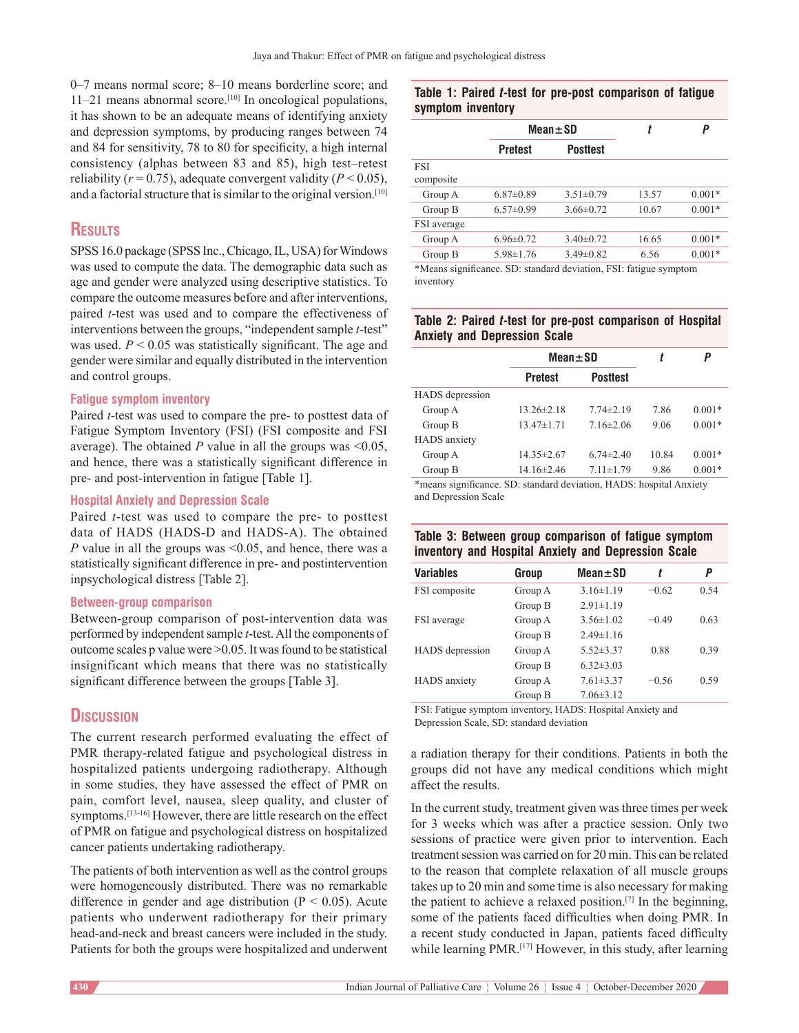0–7 means normal score; 8–10 means borderline score; and  $11-21$  means abnormal score.<sup>[10]</sup> In oncological populations, it has shown to be an adequate means of identifying anxiety and depression symptoms, by producing ranges between 74 and 84 for sensitivity, 78 to 80 for specificity, a high internal consistency (alphas between 83 and 85), high test–retest reliability ( $r = 0.75$ ), adequate convergent validity ( $P \le 0.05$ ), and a factorial structure that is similar to the original version.<sup>[10]</sup>

# **Results**

SPSS 16.0 package (SPSS Inc., Chicago, IL, USA) for Windows was used to compute the data. The demographic data such as age and gender were analyzed using descriptive statistics. To compare the outcome measures before and after interventions, paired *t*-test was used and to compare the effectiveness of interventions between the groups, "independent sample *t*-test" was used.  $P < 0.05$  was statistically significant. The age and gender were similar and equally distributed in the intervention and control groups.

#### **Fatigue symptom inventory**

Paired *t*-test was used to compare the pre- to posttest data of Fatigue Symptom Inventory (FSI) (FSI composite and FSI average). The obtained *P* value in all the groups was  $\leq 0.05$ , and hence, there was a statistically significant difference in pre‑ and post-intervention in fatigue [Table 1].

#### **Hospital Anxiety and Depression Scale**

Paired *t*-test was used to compare the pre- to posttest data of HADS (HADS‑D and HADS‑A). The obtained *P* value in all the groups was <0.05, and hence, there was a statistically significant difference in pre‑ and postintervention inpsychological distress [Table 2].

### **Between‑group comparison**

Between-group comparison of post-intervention data was performed by independent sample *t*‑test. All the components of outcome scales p value were >0.05. It was found to be statistical insignificant which means that there was no statistically significant difference between the groups [Table 3].

# **Discussion**

The current research performed evaluating the effect of PMR therapy-related fatigue and psychological distress in hospitalized patients undergoing radiotherapy. Although in some studies, they have assessed the effect of PMR on pain, comfort level, nausea, sleep quality, and cluster of symptoms.<sup>[13-16]</sup> However, there are little research on the effect of PMR on fatigue and psychological distress on hospitalized cancer patients undertaking radiotherapy.

The patients of both intervention as well as the control groups were homogeneously distributed. There was no remarkable difference in gender and age distribution ( $P < 0.05$ ). Acute patients who underwent radiotherapy for their primary head-and-neck and breast cancers were included in the study. Patients for both the groups were hospitalized and underwent

#### **Table 1: Paired** *t***-test for pre-post comparison of fatigue symptom inventory**

|                  |                 | $Mean \pm SD$   |       | P        |
|------------------|-----------------|-----------------|-------|----------|
|                  | <b>Pretest</b>  | <b>Posttest</b> |       |          |
| FSI<br>composite |                 |                 |       |          |
| Group A          | $6.87 \pm 0.89$ | $3.51 \pm 0.79$ | 13.57 | $0.001*$ |
| Group B          | $6.57 \pm 0.99$ | $3.66 \pm 0.72$ | 10.67 | $0.001*$ |
| FSI average      |                 |                 |       |          |
| Group A          | $6.96 \pm 0.72$ | $3.40\pm0.72$   | 16.65 | $0.001*$ |
| Group B          | $5.98 \pm 1.76$ | $3.49\pm0.82$   | 6.56  | $0.001*$ |

\*Means significance. SD: standard deviation, FSI: fatigue symptom inventory

#### **Table 2: Paired** *t***-test for pre-post comparison of Hospital Anxiety and Depression Scale**

|                        | $Mean \pm SD$    |                 |       | Ρ        |
|------------------------|------------------|-----------------|-------|----------|
|                        | <b>Pretest</b>   | <b>Posttest</b> |       |          |
| <b>HADS</b> depression |                  |                 |       |          |
| Group A                | $13.26 \pm 2.18$ | $7.74 \pm 2.19$ | 7.86  | $0.001*$ |
| Group B                | $13.47\pm1.71$   | $7.16 \pm 2.06$ | 9.06  | $0.001*$ |
| <b>HADS</b> anxiety    |                  |                 |       |          |
| Group A                | $14.35 \pm 2.67$ | $6.74 \pm 2.40$ | 10.84 | $0.001*$ |
| Group B                | $14.16\pm2.46$   | $7.11 \pm 1.79$ | 9.86  | $0.001*$ |

\*means significance. SD: standard deviation, HADS: hospital Anxiety and Depression Scale

# **Table 3: Between group comparison of fatigue symptom inventory and Hospital Anxiety and Depression Scale**

| <b>Variables</b>       | Group   | $Mean \pm SD$   | t       | P    |
|------------------------|---------|-----------------|---------|------|
| FSI composite          | Group A | $3.16 \pm 1.19$ | $-0.62$ | 0.54 |
|                        | Group B | $2.91 \pm 1.19$ |         |      |
| FSI average            | Group A | $3.56 \pm 1.02$ | $-0.49$ | 0.63 |
|                        | Group B | $2.49 \pm 1.16$ |         |      |
| <b>HADS</b> depression | Group A | $5.52 \pm 3.37$ | 0.88    | 0.39 |
|                        | Group B | $6.32 \pm 3.03$ |         |      |
| HADS anxiety           | Group A | $7.61 \pm 3.37$ | $-0.56$ | 0.59 |
|                        | Group B | $7.06\pm3.12$   |         |      |

FSI: Fatigue symptom inventory, HADS: Hospital Anxiety and Depression Scale, SD: standard deviation

a radiation therapy for their conditions. Patients in both the groups did not have any medical conditions which might affect the results.

In the current study, treatment given was three times per week for 3 weeks which was after a practice session. Only two sessions of practice were given prior to intervention. Each treatment session was carried on for 20 min. This can be related to the reason that complete relaxation of all muscle groups takes up to 20 min and some time is also necessary for making the patient to achieve a relaxed position.[7] In the beginning, some of the patients faced difficulties when doing PMR. In a recent study conducted in Japan, patients faced difficulty while learning PMR.<sup>[17]</sup> However, in this study, after learning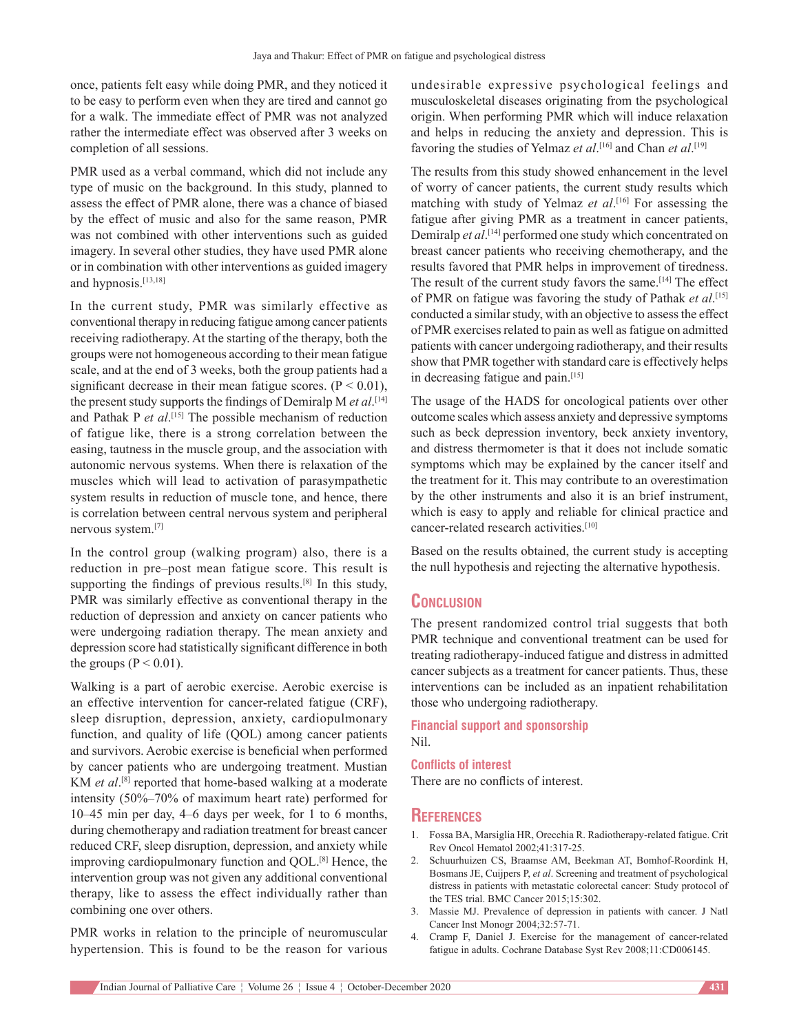once, patients felt easy while doing PMR, and they noticed it to be easy to perform even when they are tired and cannot go for a walk. The immediate effect of PMR was not analyzed rather the intermediate effect was observed after 3 weeks on completion of all sessions.

PMR used as a verbal command, which did not include any type of music on the background. In this study, planned to assess the effect of PMR alone, there was a chance of biased by the effect of music and also for the same reason, PMR was not combined with other interventions such as guided imagery. In several other studies, they have used PMR alone or in combination with other interventions as guided imagery and hypnosis.[13,18]

In the current study, PMR was similarly effective as conventional therapy in reducing fatigue among cancer patients receiving radiotherapy. At the starting of the therapy, both the groups were not homogeneous according to their mean fatigue scale, and at the end of 3 weeks, both the group patients had a significant decrease in their mean fatigue scores.  $(P < 0.01)$ , the present study supports the findings of Demiralp M *et al*. [14] and Pathak P *et al*.<sup>[15]</sup> The possible mechanism of reduction of fatigue like, there is a strong correlation between the easing, tautness in the muscle group, and the association with autonomic nervous systems. When there is relaxation of the muscles which will lead to activation of parasympathetic system results in reduction of muscle tone, and hence, there is correlation between central nervous system and peripheral nervous system.[7]

In the control group (walking program) also, there is a reduction in pre–post mean fatigue score. This result is supporting the findings of previous results.<sup>[8]</sup> In this study, PMR was similarly effective as conventional therapy in the reduction of depression and anxiety on cancer patients who were undergoing radiation therapy. The mean anxiety and depression score had statistically significant difference in both the groups ( $P < 0.01$ ).

Walking is a part of aerobic exercise. Aerobic exercise is an effective intervention for cancer-related fatigue (CRF), sleep disruption, depression, anxiety, cardiopulmonary function, and quality of life (QOL) among cancer patients and survivors. Aerobic exercise is beneficial when performed by cancer patients who are undergoing treatment. Mustian KM *et al*.<sup>[8]</sup> reported that home-based walking at a moderate intensity (50%–70% of maximum heart rate) performed for 10–45 min per day, 4–6 days per week, for 1 to 6 months, during chemotherapy and radiation treatment for breast cancer reduced CRF, sleep disruption, depression, and anxiety while improving cardiopulmonary function and QOL.<sup>[8]</sup> Hence, the intervention group was not given any additional conventional therapy, like to assess the effect individually rather than combining one over others.

PMR works in relation to the principle of neuromuscular hypertension. This is found to be the reason for various undesirable expressive psychological feelings and musculoskeletal diseases originating from the psychological origin. When performing PMR which will induce relaxation and helps in reducing the anxiety and depression. This is favoring the studies of Yelmaz *et al*. [16] and Chan *et al*. [19]

The results from this study showed enhancement in the level of worry of cancer patients, the current study results which matching with study of Yelmaz *et al*. [16] For assessing the fatigue after giving PMR as a treatment in cancer patients, Demiralp *et al*. [14] performed one study which concentrated on breast cancer patients who receiving chemotherapy, and the results favored that PMR helps in improvement of tiredness. The result of the current study favors the same.[14] The effect of PMR on fatigue was favoring the study of Pathak *et al*. [15] conducted a similar study, with an objective to assess the effect of PMR exercises related to pain as well as fatigue on admitted patients with cancer undergoing radiotherapy, and their results show that PMR together with standard care is effectively helps in decreasing fatigue and pain.[15]

The usage of the HADS for oncological patients over other outcome scales which assess anxiety and depressive symptoms such as beck depression inventory, beck anxiety inventory, and distress thermometer is that it does not include somatic symptoms which may be explained by the cancer itself and the treatment for it. This may contribute to an overestimation by the other instruments and also it is an brief instrument, which is easy to apply and reliable for clinical practice and cancer-related research activities.<sup>[10]</sup>

Based on the results obtained, the current study is accepting the null hypothesis and rejecting the alternative hypothesis.

### **Conclusion**

The present randomized control trial suggests that both PMR technique and conventional treatment can be used for treating radiotherapy‑induced fatigue and distress in admitted cancer subjects as a treatment for cancer patients. Thus, these interventions can be included as an inpatient rehabilitation those who undergoing radiotherapy.

**Financial support and sponsorship** Nil.

#### **Conflicts of interest**

There are no conflicts of interest.

#### **References**

- 1. Fossa BA, Marsiglia HR, Orecchia R. Radiotherapy‑related fatigue. Crit Rev Oncol Hematol 2002;41:317‑25.
- 2. Schuurhuizen CS, Braamse AM, Beekman AT, Bomhof‑Roordink H, Bosmans JE, Cuijpers P, *et al*. Screening and treatment of psychological distress in patients with metastatic colorectal cancer: Study protocol of the TES trial. BMC Cancer 2015;15:302.
- 3. Massie MJ. Prevalence of depression in patients with cancer. J Natl Cancer Inst Monogr 2004;32:57‑71.
- 4. Cramp F, Daniel J. Exercise for the management of cancer-related fatigue in adults. Cochrane Database Syst Rev 2008;11:CD006145.